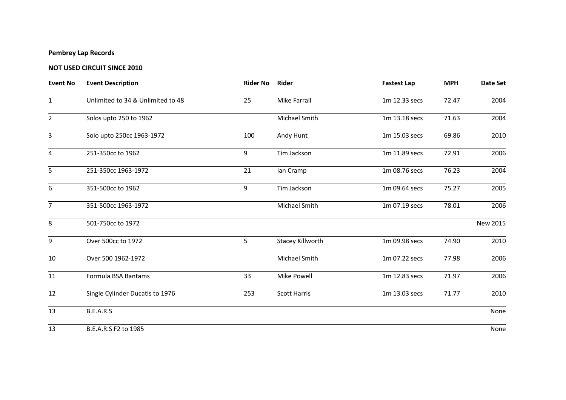## **Pembrey Lap Records**

## **NOT USED CIRCUIT SINCE 2010**

| <b>Event No</b> | <b>Event Description</b>          | Rider No Rider |                     | <b>Fastest Lap</b> | <b>MPH</b> | Date Set |
|-----------------|-----------------------------------|----------------|---------------------|--------------------|------------|----------|
| $\mathbf{1}$    | Unlimited to 34 & Unlimited to 48 | 25             | <b>Mike Farrall</b> | 1m 12.33 secs      | 72.47      | 2004     |
| $\overline{2}$  | Solos upto 250 to 1962            |                | Michael Smith       | 1m 13.18 secs      | 71.63      | 2004     |
| 3               | Solo upto 250cc 1963-1972         | 100            | Andy Hunt           | 1m 15.03 secs      | 69.86      | 2010     |
| $\overline{4}$  | 251-350cc to 1962                 | 9              | Tim Jackson         | 1m 11.89 secs      | 72.91      | 2006     |
| 5               | 251-350cc 1963-1972               | 21             | lan Cramp           | 1m 08.76 secs      | 76.23      | 2004     |
| 6               | 351-500cc to 1962                 | 9              | Tim Jackson         | 1m 09.64 secs      | 75.27      | 2005     |
| $\overline{7}$  | 351-500cc 1963-1972               |                | Michael Smith       | 1m 07.19 secs      | 78.01      | 2006     |
| 8               | 501-750cc to 1972                 |                |                     |                    |            | New 2015 |
| 9               | Over 500cc to 1972                | 5              | Stacey Killworth    | 1m 09.98 secs      | 74.90      | 2010     |
| 10              | Over 500 1962-1972                |                | Michael Smith       | 1m 07.22 secs      | 77.98      | 2006     |
| 11              | Formula BSA Bantams               | 33             | Mike Powell         | 1m 12.83 secs      | 71.97      | 2006     |
| 12              | Single Cylinder Ducatis to 1976   | 253            | <b>Scott Harris</b> | 1m 13.03 secs      | 71.77      | 2010     |
| 13              | B.E.A.R.S                         |                |                     |                    |            | None     |
| 13              | B.E.A.R.S F2 to 1985              |                |                     |                    |            | None     |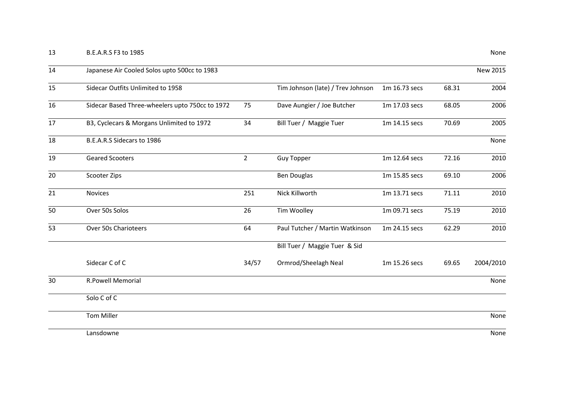| 14 | Japanese Air Cooled Solos upto 500cc to 1983    |                |                                   |               |       | <b>New 2015</b> |
|----|-------------------------------------------------|----------------|-----------------------------------|---------------|-------|-----------------|
| 15 | Sidecar Outfits Unlimited to 1958               |                | Tim Johnson (late) / Trev Johnson | 1m 16.73 secs | 68.31 | 2004            |
| 16 | Sidecar Based Three-wheelers upto 750cc to 1972 | 75             | Dave Aungier / Joe Butcher        | 1m 17.03 secs | 68.05 | 2006            |
| 17 | B3, Cyclecars & Morgans Unlimited to 1972       | 34             | Bill Tuer / Maggie Tuer           | 1m 14.15 secs | 70.69 | 2005            |
| 18 | B.E.A.R.S Sidecars to 1986                      |                |                                   |               |       | None            |
| 19 | Geared Scooters                                 | $\overline{2}$ | <b>Guy Topper</b>                 | 1m 12.64 secs | 72.16 | 2010            |
| 20 | Scooter Zips                                    |                | Ben Douglas                       | 1m 15.85 secs | 69.10 | 2006            |
| 21 | Novices                                         | 251            | Nick Killworth                    | 1m 13.71 secs | 71.11 | 2010            |
| 50 | Over 50s Solos                                  | 26             | Tim Woolley                       | 1m 09.71 secs | 75.19 | 2010            |
| 53 | Over 50s Charioteers                            | 64             | Paul Tutcher / Martin Watkinson   | 1m 24.15 secs | 62.29 | 2010            |
|    |                                                 |                | Bill Tuer / Maggie Tuer & Sid     |               |       |                 |
|    | Sidecar C of C                                  | 34/57          | Ormrod/Sheelagh Neal              | 1m 15.26 secs | 69.65 | 2004/2010       |
| 30 | <b>R.Powell Memorial</b>                        |                |                                   |               |       |                 |
|    | Solo C of C                                     |                |                                   |               |       |                 |
|    | <b>Tom Miller</b>                               |                |                                   |               |       | None            |
|    | Lansdowne                                       |                |                                   |               |       | None            |